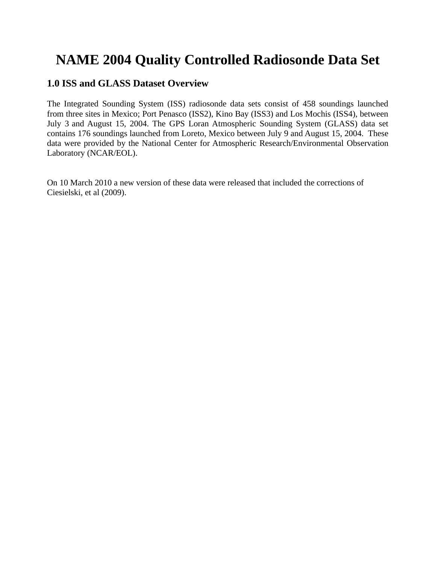# **NAME 2004 Quality Controlled Radiosonde Data Set**

# **1.0 ISS and GLASS Dataset Overview**

The Integrated Sounding System (ISS) radiosonde data sets consist of 458 soundings launched from three sites in Mexico; Port Penasco (ISS2), Kino Bay (ISS3) and Los Mochis (ISS4), between July 3 and August 15, 2004. The GPS Loran Atmospheric Sounding System (GLASS) data set contains 176 soundings launched from Loreto, Mexico between July 9 and August 15, 2004. These data were provided by the National Center for Atmospheric Research/Environmental Observation Laboratory (NCAR/EOL).

On 10 March 2010 a new version of these data were released that included the corrections of Ciesielski, et al (2009).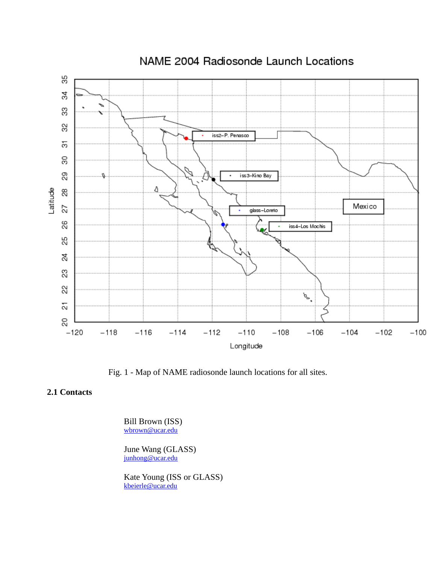

NAME 2004 Radiosonde Launch Locations

Fig. 1 - Map of NAME radiosonde launch locations for all sites.

## **2.1 Contacts**

 Bill Brown (ISS) [wbrown@ucar.edu](mailto:Wbrown@ucar.edu)

June Wang (GLASS) [junhong@ucar.edu](mailto:cohn@ucar.edu)

Kate Young (ISS or GLASS) [kbeierle@ucar.edu](mailto:kbeierle@ucar.edu)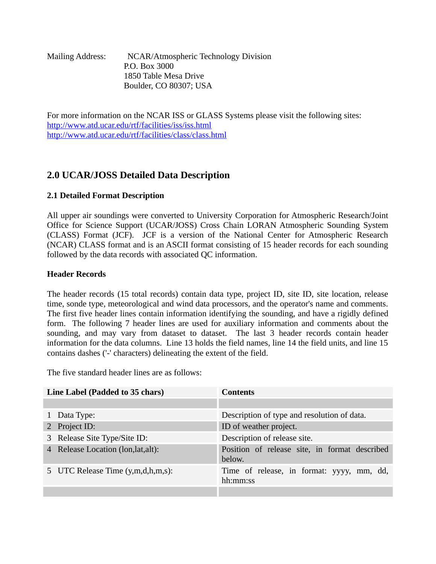| <b>Mailing Address:</b> | NCAR/Atmospheric Technology Division |
|-------------------------|--------------------------------------|
|                         | P.O. Box 3000                        |
|                         | 1850 Table Mesa Drive                |
|                         | Boulder, CO 80307; USA               |

For more information on the NCAR ISS or GLASS Systems please visit the following sites: <http://www.atd.ucar.edu/rtf/facilities/iss/iss.html> <http://www.atd.ucar.edu/rtf/facilities/class/class.html>

# **2.0 UCAR/JOSS Detailed Data Description**

# **2.1 Detailed Format Description**

All upper air soundings were converted to University Corporation for Atmospheric Research/Joint Office for Science Support (UCAR/JOSS) Cross Chain LORAN Atmospheric Sounding System (CLASS) Format (JCF). JCF is a version of the National Center for Atmospheric Research (NCAR) CLASS format and is an ASCII format consisting of 15 header records for each sounding followed by the data records with associated QC information.

## **Header Records**

The header records (15 total records) contain data type, project ID, site ID, site location, release time, sonde type, meteorological and wind data processors, and the operator's name and comments. The first five header lines contain information identifying the sounding, and have a rigidly defined form. The following 7 header lines are used for auxiliary information and comments about the sounding, and may vary from dataset to dataset. The last 3 header records contain header information for the data columns. Line 13 holds the field names, line 14 the field units, and line 15 contains dashes ('-' characters) delineating the extent of the field.

The five standard header lines are as follows:

| Line Label (Padded to 35 chars)     | <b>Contents</b>                                         |  |  |
|-------------------------------------|---------------------------------------------------------|--|--|
|                                     |                                                         |  |  |
| 1 Data Type:                        | Description of type and resolution of data.             |  |  |
| 2 Project ID:                       | ID of weather project.                                  |  |  |
| 3 Release Site Type/Site ID:        | Description of release site.                            |  |  |
| 4 Release Location (lon, lat, alt): | Position of release site, in format described<br>below. |  |  |
| 5 UTC Release Time (y,m,d,h,m,s):   | Time of release, in format: yyyy, mm, dd,<br>hh:mm:ss   |  |  |
|                                     |                                                         |  |  |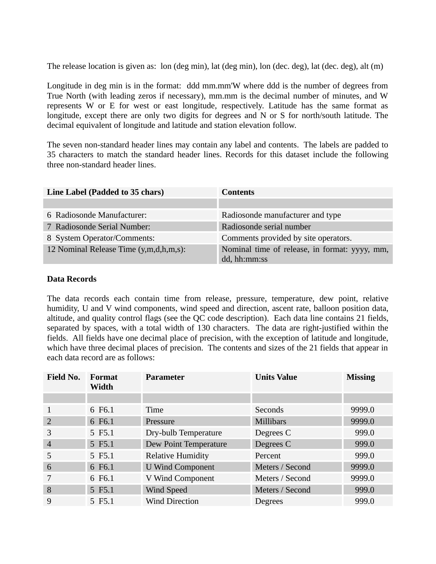The release location is given as: lon (deg min), lat (deg min), lon (dec. deg), lat (dec. deg), alt (m)

Longitude in deg min is in the format: ddd mm.mm'W where ddd is the number of degrees from True North (with leading zeros if necessary), mm.mm is the decimal number of minutes, and W represents W or E for west or east longitude, respectively. Latitude has the same format as longitude, except there are only two digits for degrees and N or S for north/south latitude. The decimal equivalent of longitude and latitude and station elevation follow.

The seven non-standard header lines may contain any label and contents. The labels are padded to 35 characters to match the standard header lines. Records for this dataset include the following three non-standard header lines.

| Line Label (Padded to 35 chars)        | <b>Contents</b>                                               |
|----------------------------------------|---------------------------------------------------------------|
|                                        |                                                               |
| 6 Radiosonde Manufacturer:             | Radiosonde manufacturer and type                              |
| 7 Radiosonde Serial Number:            | Radiosonde serial number                                      |
| 8 System Operator/Comments:            | Comments provided by site operators.                          |
| 12 Nominal Release Time (y,m,d,h,m,s): | Nominal time of release, in format: yyyy, mm,<br>dd, hh:mm:ss |

#### **Data Records**

The data records each contain time from release, pressure, temperature, dew point, relative humidity, U and V wind components, wind speed and direction, ascent rate, balloon position data, altitude, and quality control flags (see the QC code description). Each data line contains 21 fields, separated by spaces, with a total width of 130 characters. The data are right-justified within the fields. All fields have one decimal place of precision, with the exception of latitude and longitude, which have three decimal places of precision. The contents and sizes of the 21 fields that appear in each data record are as follows:

| <b>Field No.</b> | Format<br>Width | <b>Parameter</b>         | <b>Units Value</b> | <b>Missing</b> |
|------------------|-----------------|--------------------------|--------------------|----------------|
|                  |                 |                          |                    |                |
|                  | 6 F6.1          | Time                     | <b>Seconds</b>     | 9999.0         |
| $\overline{2}$   | 6 F6.1          | Pressure                 | <b>Millibars</b>   | 9999.0         |
| 3                | 5 F5.1          | Dry-bulb Temperature     | Degrees C          | 999.0          |
| $\overline{4}$   | 5 F5.1          | Dew Point Temperature    | Degrees C          | 999.0          |
| 5                | 5 F5.1          | <b>Relative Humidity</b> | Percent            | 999.0          |
| 6                | 6 F6.1          | <b>U Wind Component</b>  | Meters / Second    | 9999.0         |
| 7                | 6 F6.1          | V Wind Component         | Meters / Second    | 9999.0         |
| 8                | 5 F5.1          | Wind Speed               | Meters / Second    | 999.0          |
| 9                | 5 F5.1          | <b>Wind Direction</b>    | <b>Degrees</b>     | 999.0          |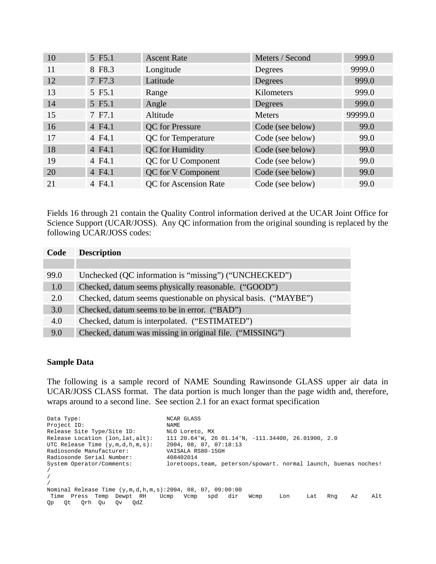| 10 | 5 F5.1 | <b>Ascent Rate</b>           | Meters / Second  | 999.0   |
|----|--------|------------------------------|------------------|---------|
| 11 | 8 F8.3 | Longitude                    | <b>Degrees</b>   | 9999.0  |
| 12 | 7 F7.3 | Latitude                     | <b>Degrees</b>   | 999.0   |
| 13 | 5 F5.1 | Range                        | Kilometers       | 999.0   |
| 14 | 5 F5.1 | Angle                        | <b>Degrees</b>   | 999.0   |
| 15 | 7 F7.1 | Altitude                     | <b>Meters</b>    | 99999.0 |
| 16 | 4 F4.1 | QC for Pressure              | Code (see below) | 99.0    |
| 17 | 4 F4.1 | <b>QC</b> for Temperature    | Code (see below) | 99.0    |
| 18 | 4 F4.1 | QC for Humidity              | Code (see below) | 99.0    |
| 19 | 4 F4.1 | <b>QC</b> for U Component    | Code (see below) | 99.0    |
| 20 | 4 F4.1 | <b>QC</b> for V Component    | Code (see below) | 99.0    |
| 21 | 4 F4.1 | <b>QC</b> for Ascension Rate | Code (see below) | 99.0    |

Fields 16 through 21 contain the Quality Control information derived at the UCAR Joint Office for Science Support (UCAR/JOSS). Any QC information from the original sounding is replaced by the following UCAR/JOSS codes:

| Code | <b>Description</b>                                             |
|------|----------------------------------------------------------------|
|      |                                                                |
| 99.0 | Unchecked (QC information is "missing") ("UNCHECKED")          |
| 1.0  | Checked, datum seems physically reasonable. ("GOOD")           |
| 2.0  | Checked, datum seems questionable on physical basis. ("MAYBE") |
| 3.0  | Checked, datum seems to be in error. ("BAD")                   |
| 4.0  | Checked, datum is interpolated. ("ESTIMATED")                  |
| 9.0  | Checked, datum was missing in original file. ("MISSING")       |

#### **Sample Data**

The following is a sample record of NAME Sounding Rawinsonde GLASS upper air data in UCAR/JOSS CLASS format. The data portion is much longer than the page width and, therefore, wraps around to a second line. See section 2.1 for an exact format specification

Data Type: NCAR GLASS<br>Project ID: NAME Project ID: Release Site Type/Site ID: NLO Loreto, MX<br>Release Location (lon,lat,alt): 111 20.64'W, 20 111 20.64'W, 26 01.14'N, -111.34400, 26.01900, 2.0 UTC Release Time (y,m,d,h,m,s): 2004, 08, 07, 07:18:13 Radiosonde Manufacturer: VAISALA R:<br>Radiosonde Serial Number: 408402014 Radiosonde Serial Number: System Operator/Comments: loretoops, team, peterson/spowart. normal launch, buenas noches! / / / Nominal Release Time (y,m,d,h,m,s):2004, 08, 07, 09:00:00 Time Press Temp Dewpt RH Ucmp Vcmp spd dir Wcmp Lon Lat Rng Az Alt Qp Qt Qrh Qu Qv QdZ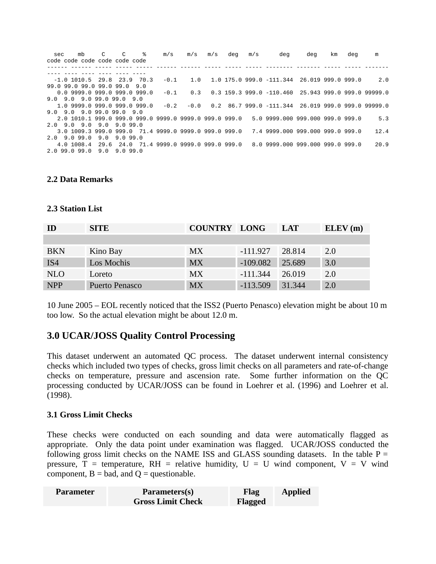| sec | mb<br>code code code code code code                    | C. | $\overline{c}$ | % | m/s    | m/s  | m/s | deg | m/s | deg                                                    | deg | km | deg | m    |
|-----|--------------------------------------------------------|----|----------------|---|--------|------|-----|-----|-----|--------------------------------------------------------|-----|----|-----|------|
|     |                                                        |    |                |   |        |      |     |     |     |                                                        |     |    |     |      |
|     |                                                        |    |                |   |        |      |     |     |     |                                                        |     |    |     |      |
|     | $-1.0$ 1010.5 29.8 23.9 70.3                           |    |                |   | -0.1   | 1.0  |     |     |     | 1.0 175.0 999.0 -111.344 26.019 999.0 999.0            |     |    |     | 2.0  |
|     | 99.0 99.0 99.0 99.0 99.0 9.0                           |    |                |   |        |      |     |     |     |                                                        |     |    |     |      |
|     | $0.0$ 9999.0 999.0 999.0 999.0                         |    |                |   | -0.1   | 0.3  |     |     |     | $0.3$ 159.3 999.0 -110.460 25.943 999.0 999.0 99999.0  |     |    |     |      |
|     | 9.0 9.0 9.0 99.0 99.0 9.0                              |    |                |   |        |      |     |     |     |                                                        |     |    |     |      |
|     | 1.0 9999.0 999.0 999.0 999.0                           |    |                |   | $-0.2$ | -0.0 |     |     |     | $0.2$ 86.7 999.0 $-111.344$ 26.019 999.0 999.0 99999.0 |     |    |     |      |
|     | $9.0$ $9.0$ $9.0$ $99.0$ $99.0$ $9.0$                  |    |                |   |        |      |     |     |     |                                                        |     |    |     |      |
|     | 2.0 1010.1 999.0 999.0 999.0 9999.0 9999.0 999.0 999.0 |    |                |   |        |      |     |     |     | 5.0 9999.000 999.000 999.0 999.0                       |     |    |     | 5.3  |
|     | 2.0 9.0 9.0 9.0 9.0 99.0                               |    |                |   |        |      |     |     |     |                                                        |     |    |     |      |
|     | 3.0 1009.3 999.0 999.0 71.4 9999.0 9999.0 999.0 999.0  |    |                |   |        |      |     |     |     | 7.4 9999.000 999.000 999.0 999.0                       |     |    |     | 12.4 |
|     | 2.0 9.0 99.0                                           |    | 9.09.099.0     |   |        |      |     |     |     |                                                        |     |    |     |      |
|     | 4 0 1008 4 29 6 24 0 71 4 9999 0 9999 0 999 0 999 0    |    |                |   |        |      |     |     |     | 8.0 9999.000 999.000 999.0 999.0                       |     |    |     | 20.9 |
|     | 2.099.099.0                                            |    | 9.09.099.0     |   |        |      |     |     |     |                                                        |     |    |     |      |

#### **2.2 Data Remarks**

#### **2.3 Station List**

| TD.        | <b>SITE</b>    | <b>COUNTRY LONG</b> |            | <b>LAT</b> | ELEV(m) |
|------------|----------------|---------------------|------------|------------|---------|
|            |                |                     |            |            |         |
| <b>BKN</b> | Kino Bay       | MX.                 | $-111.927$ | 28.814     | 2.0     |
| IS4        | Los Mochis     | <b>MX</b>           | $-109.082$ | 25.689     | 3.0     |
| <b>NLO</b> | Loreto         | <b>MX</b>           | $-111.344$ | 26.019     | 2.0     |
| <b>NPP</b> | Puerto Penasco | <b>MX</b>           | $-113.509$ | 31.344     | 2.0     |

10 June 2005 – EOL recently noticed that the ISS2 (Puerto Penasco) elevation might be about 10 m too low. So the actual elevation might be about 12.0 m.

# **3.0 UCAR/JOSS Quality Control Processing**

This dataset underwent an automated QC process. The dataset underwent internal consistency checks which included two types of checks, gross limit checks on all parameters and rate-of-change checks on temperature, pressure and ascension rate. Some further information on the QC processing conducted by UCAR/JOSS can be found in Loehrer et al. (1996) and Loehrer et al. (1998).

#### **3.1 Gross Limit Checks**

These checks were conducted on each sounding and data were automatically flagged as appropriate. Only the data point under examination was flagged. UCAR/JOSS conducted the following gross limit checks on the NAME ISS and GLASS sounding datasets. In the table  $P =$ pressure,  $T =$  temperature,  $RH =$  relative humidity,  $U = U$  wind component,  $V = V$  wind component,  $B = bad$ , and  $Q = questionable$ .

| Parameter | Parameters(s)            | Flag    | <b>Applied</b> |
|-----------|--------------------------|---------|----------------|
|           | <b>Gross Limit Check</b> | Flagged |                |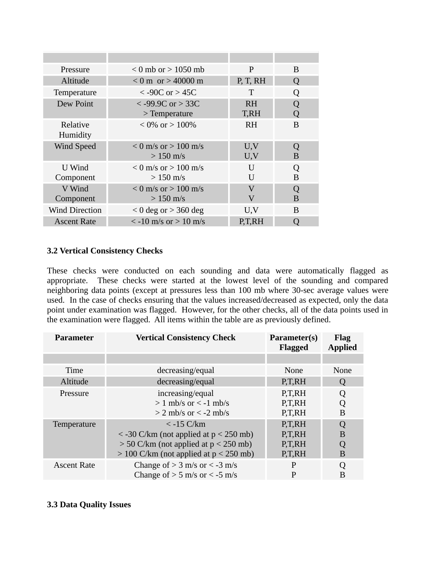| Pressure              | $< 0$ mb or $> 1050$ mb                         | P                      | B                |
|-----------------------|-------------------------------------------------|------------------------|------------------|
| Altitude              | $< 0$ m or $> 40000$ m                          | P, T, RH               | O                |
| Temperature           | $< -90C$ or $> 45C$                             | T                      | $\left( \right)$ |
| Dew Point             | $<$ -99.9C or $>$ 33C<br>$>$ Temperature        | R <sub>H</sub><br>T,RH |                  |
| Relative<br>Humidity  | $\leq 0\%$ or $> 100\%$                         | RH                     | B                |
| <b>Wind Speed</b>     | $\leq 0$ m/s or $> 100$ m/s<br>$> 150$ m/s      | U, V<br>U, V           | B                |
| U Wind<br>Component   | $< 0$ m/s or $> 100$ m/s<br>$> 150 \text{ m/s}$ | U<br>U                 | B                |
| V Wind<br>Component   | $< 0$ m/s or $> 100$ m/s<br>$>150$ m/s          | $\rm V$<br>V           | $\Omega$<br>B    |
| <b>Wind Direction</b> | $<$ 0 deg or $>$ 360 deg                        | U, V                   | <sub>B</sub>     |
| <b>Ascent Rate</b>    | $\le$ -10 m/s or $>$ 10 m/s                     | P.T.RH                 |                  |

## **3.2 Vertical Consistency Checks**

These checks were conducted on each sounding and data were automatically flagged as appropriate. These checks were started at the lowest level of the sounding and compared neighboring data points (except at pressures less than 100 mb where 30-sec average values were used. In the case of checks ensuring that the values increased/decreased as expected, only the data point under examination was flagged. However, for the other checks, all of the data points used in the examination were flagged. All items within the table are as previously defined.

| Parameter          | <b>Vertical Consistency Check</b>                                                                                                                                 | Parameter(s)<br><b>Flagged</b>       | <b>Flag</b><br><b>Applied</b> |
|--------------------|-------------------------------------------------------------------------------------------------------------------------------------------------------------------|--------------------------------------|-------------------------------|
|                    |                                                                                                                                                                   |                                      |                               |
| Time               | decreasing/equal                                                                                                                                                  | None                                 | None                          |
| Altitude           | decreasing/equal                                                                                                                                                  | P.T.RH                               | Q                             |
| Pressure           | increasing/equal<br>$> 1$ mb/s or $\le$ -1 mb/s<br>$>$ 2 mb/s or $<$ -2 mb/s                                                                                      | P.T.RH<br>P.T.RH<br>P.T.RH           | Q<br>Q<br>B                   |
| Temperature        | $<$ -15 C/km<br>$\langle$ -30 C/km (not applied at $p \langle$ 250 mb)<br>$>$ 50 C/km (not applied at p $<$ 250 mb)<br>$>$ 100 C/km (not applied at p $<$ 250 mb) | P.T.RH<br>P,T,RH<br>P,T,RH<br>P.T.RH | Q<br>B<br>Q<br>B              |
| <b>Ascent Rate</b> | Change of $> 3$ m/s or $<$ -3 m/s<br>Change of $> 5$ m/s or $< -5$ m/s                                                                                            | $\mathbf{P}$<br>$\mathbf{P}$         | Q<br>B                        |

## **3.3 Data Quality Issues**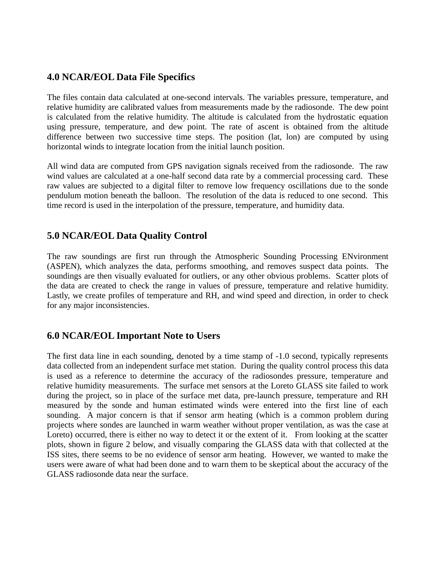# **4.0 NCAR/EOL Data File Specifics**

The files contain data calculated at one-second intervals. The variables pressure, temperature, and relative humidity are calibrated values from measurements made by the radiosonde. The dew point is calculated from the relative humidity. The altitude is calculated from the hydrostatic equation using pressure, temperature, and dew point. The rate of ascent is obtained from the altitude difference between two successive time steps. The position (lat, lon) are computed by using horizontal winds to integrate location from the initial launch position.

All wind data are computed from GPS navigation signals received from the radiosonde. The raw wind values are calculated at a one-half second data rate by a commercial processing card. These raw values are subjected to a digital filter to remove low frequency oscillations due to the sonde pendulum motion beneath the balloon. The resolution of the data is reduced to one second. This time record is used in the interpolation of the pressure, temperature, and humidity data.

# **5.0 NCAR/EOL Data Quality Control**

The raw soundings are first run through the Atmospheric Sounding Processing ENvironment (ASPEN), which analyzes the data, performs smoothing, and removes suspect data points. The soundings are then visually evaluated for outliers, or any other obvious problems. Scatter plots of the data are created to check the range in values of pressure, temperature and relative humidity. Lastly, we create profiles of temperature and RH, and wind speed and direction, in order to check for any major inconsistencies.

# **6.0 NCAR/EOL Important Note to Users**

The first data line in each sounding, denoted by a time stamp of -1.0 second, typically represents data collected from an independent surface met station. During the quality control process this data is used as a reference to determine the accuracy of the radiosondes pressure, temperature and relative humidity measurements. The surface met sensors at the Loreto GLASS site failed to work during the project, so in place of the surface met data, pre-launch pressure, temperature and RH measured by the sonde and human estimated winds were entered into the first line of each sounding. A major concern is that if sensor arm heating (which is a common problem during projects where sondes are launched in warm weather without proper ventilation, as was the case at Loreto) occurred, there is either no way to detect it or the extent of it. From looking at the scatter plots, shown in figure 2 below, and visually comparing the GLASS data with that collected at the ISS sites, there seems to be no evidence of sensor arm heating. However, we wanted to make the users were aware of what had been done and to warn them to be skeptical about the accuracy of the GLASS radiosonde data near the surface.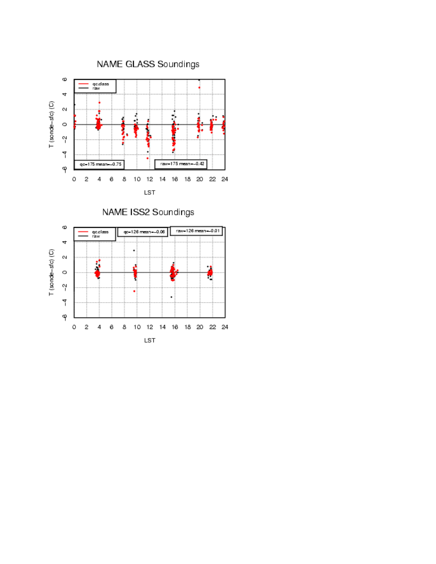

NAME ISS2 Soundings

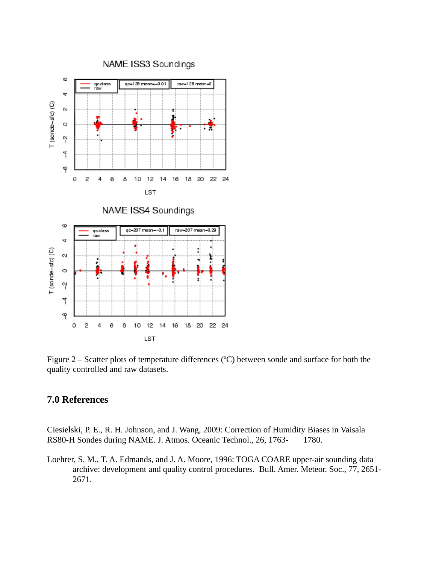

Figure 2 – Scatter plots of temperature differences ( $°C$ ) between sonde and surface for both the quality controlled and raw datasets.

## **7.0 References**

Ciesielski, P. E., R. H. Johnson, and J. Wang, 2009: Correction of Humidity Biases in Vaisala RS80-H Sondes during NAME. J. Atmos. Oceanic Technol., 26, 1763-1780.

Loehrer, S. M., T. A. Edmands, and J. A. Moore, 1996: TOGA COARE upper-air sounding data archive: development and quality control procedures. Bull. Amer. Meteor. Soc., 77, 2651- 2671.